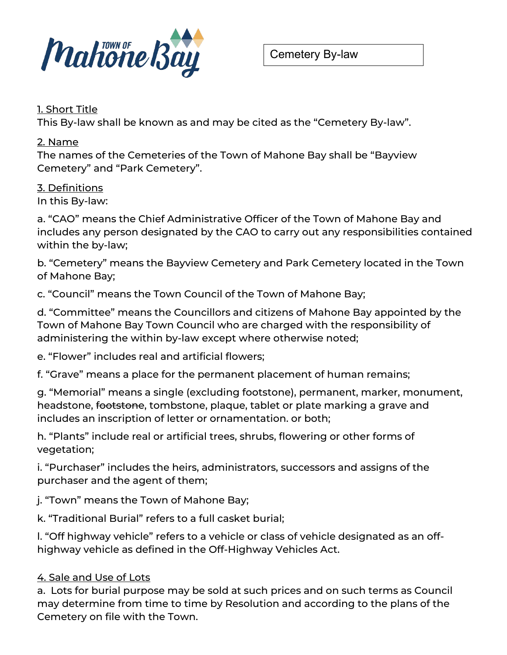

#### 1. Short Title

This By-law shall be known as and may be cited as the "Cemetery By-law".

#### 2. Name

The names of the Cemeteries of the Town of Mahone Bay shall be "Bayview Cemetery" and "Park Cemetery".

### 3. Definitions

In this By-law:

a. "CAO" means the Chief Administrative Officer of the Town of Mahone Bay and includes any person designated by the CAO to carry out any responsibilities contained within the by-law;

b. "Cemetery" means the Bayview Cemetery and Park Cemetery located in the Town of Mahone Bay;

c. "Council" means the Town Council of the Town of Mahone Bay;

d. "Committee" means the Councillors and citizens of Mahone Bay appointed by the Town of Mahone Bay Town Council who are charged with the responsibility of administering the within by-law except where otherwise noted;

e. "Flower" includes real and artificial flowers;

f. "Grave" means a place for the permanent placement of human remains;

g. "Memorial" means a single (excluding footstone), permanent, marker, monument, headstone, footstone, tombstone, plaque, tablet or plate marking a grave and includes an inscription of letter or ornamentation. or both;

h. "Plants" include real or artificial trees, shrubs, flowering or other forms of vegetation;

i. "Purchaser" includes the heirs, administrators, successors and assigns of the purchaser and the agent of them;

j. "Town" means the Town of Mahone Bay;

k. "Traditional Burial" refers to a full casket burial;

l. "Off highway vehicle" refers to a vehicle or class of vehicle designated as an offhighway vehicle as defined in the Off-Highway Vehicles Act.

### 4. Sale and Use of Lots

a. Lots for burial purpose may be sold at such prices and on such terms as Council may determine from time to time by Resolution and according to the plans of the Cemetery on file with the Town.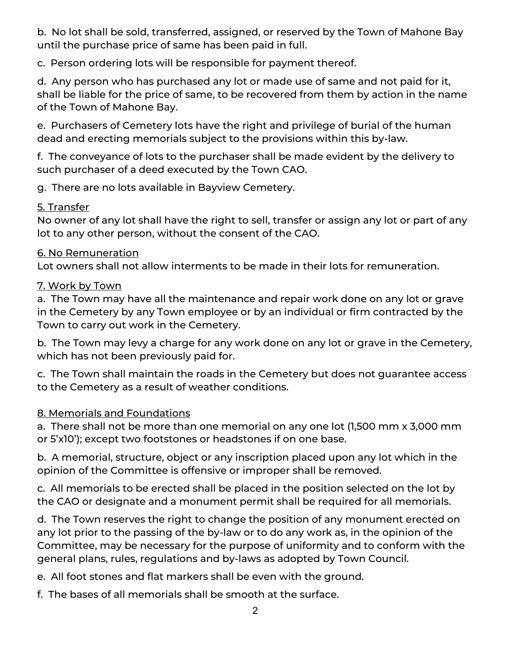b. No lot shall be sold, transferred, assigned, or reserved by the Town of Mahone Bay until the purchase price of same has been paid in full.

c. Person ordering lots will be responsible for payment thereof.

d. Any person who has purchased any lot or made use of same and not paid for it, shall be liable for the price of same, to be recovered from them by action in the name of the Town of Mahone Bay.

e. Purchasers of Cemetery lots have the right and privilege of burial of the human dead and erecting memorials subject to the provisions within this by-law.

f. The conveyance of lots to the purchaser shall be made evident by the delivery to such purchaser of a deed executed by the Town CAO.

g. There are no lots available in Bayview Cemetery.

### <u>5. Transfer</u>

No owner of any lot shall have the right to sell, transfer or assign any lot or part of any lot to any other person, without the consent of the CAO.

### 6. No Remuneration

Lot owners shall not allow interments to be made in their lots for remuneration.

# 7. Work by Town

a. The Town may have all the maintenance and repair work done on any lot or grave in the Cemetery by any Town employee or by an individual or firm contracted by the Town to carry out work in the Cemetery.

b. The Town may levy a charge for any work done on any lot or grave in the Cemetery, which has not been previously paid for.

c. The Town shall maintain the roads in the Cemetery but does not guarantee access to the Cemetery as a result of weather conditions.

# 8. Memorials and Foundations

a. There shall not be more than one memorial on any one lot (1,500 mm x 3,000 mm or 5'x10'); except two footstones or headstones if on one base.

b. A memorial, structure, object or any inscription placed upon any lot which in the opinion of the Committee is offensive or improper shall be removed.

c. All memorials to be erected shall be placed in the position selected on the lot by the CAO or designate and a monument permit shall be required for all memorials.

d. The Town reserves the right to change the position of any monument erected on any lot prior to the passing of the by-law or to do any work as, in the opinion of the Committee, may be necessary for the purpose of uniformity and to conform with the general plans, rules, regulations and by-laws as adopted by Town Council.

e. All foot stones and flat markers shall be even with the ground.

f. The bases of all memorials shall be smooth at the surface.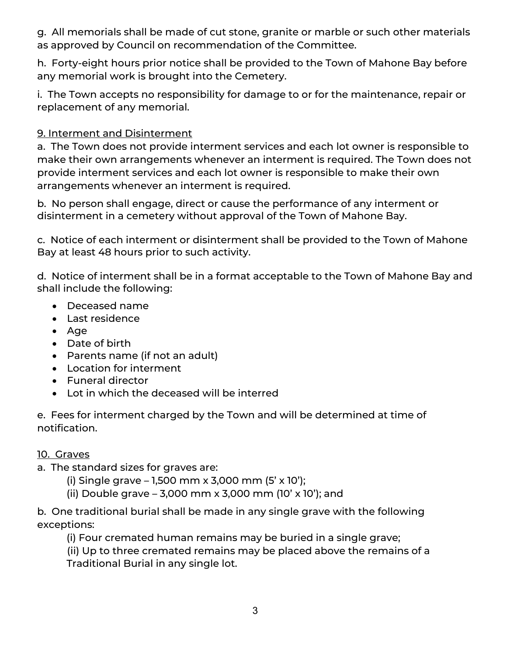g. All memorials shall be made of cut stone, granite or marble or such other materials as approved by Council on recommendation of the Committee.

h. Forty-eight hours prior notice shall be provided to the Town of Mahone Bay before any memorial work is brought into the Cemetery.

i. The Town accepts no responsibility for damage to or for the maintenance, repair or replacement of any memorial.

## 9. Interment and Disinterment

a. The Town does not provide interment services and each lot owner is responsible to make their own arrangements whenever an interment is required. The Town does not provide interment services and each lot owner is responsible to make their own arrangements whenever an interment is required.

b. No person shall engage, direct or cause the performance of any interment or disinterment in a cemetery without approval of the Town of Mahone Bay.

c. Notice of each interment or disinterment shall be provided to the Town of Mahone Bay at least 48 hours prior to such activity.

d. Notice of interment shall be in a format acceptable to the Town of Mahone Bay and shall include the following:

- Deceased name
- Last residence
- Age
- Date of birth
- Parents name (if not an adult)
- Location for interment
- Funeral director
- Lot in which the deceased will be interred

e. Fees for interment charged by the Town and will be determined at time of notification.

### 10. Graves

- a. The standard sizes for graves are:
	- (i) Single grave  $-1,500$  mm x 3,000 mm (5' x 10');
	- (ii) Double grave 3,000 mm x 3,000 mm (10' x 10'); and

b. One traditional burial shall be made in any single grave with the following exceptions:

(i) Four cremated human remains may be buried in a single grave;

 (ii) Up to three cremated remains may be placed above the remains of a Traditional Burial in any single lot.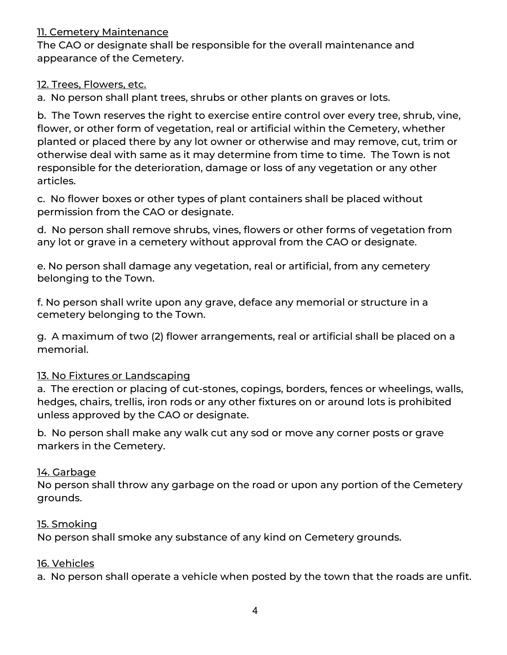#### 11. Cemetery Maintenance

The CAO or designate shall be responsible for the overall maintenance and appearance of the Cemetery.

#### 12. Trees, Flowers, etc.

a. No person shall plant trees, shrubs or other plants on graves or lots.

b. The Town reserves the right to exercise entire control over every tree, shrub, vine, flower, or other form of vegetation, real or artificial within the Cemetery, whether planted or placed there by any lot owner or otherwise and may remove, cut, trim or otherwise deal with same as it may determine from time to time. The Town is not responsible for the deterioration, damage or loss of any vegetation or any other articles.

c. No flower boxes or other types of plant containers shall be placed without permission from the CAO or designate.

d. No person shall remove shrubs, vines, flowers or other forms of vegetation from any lot or grave in a cemetery without approval from the CAO or designate.

e. No person shall damage any vegetation, real or artificial, from any cemetery belonging to the Town.

f. No person shall write upon any grave, deface any memorial or structure in a cemetery belonging to the Town.

g. A maximum of two (2) flower arrangements, real or artificial shall be placed on a memorial.

### 13. No Fixtures or Landscaping

a. The erection or placing of cut-stones, copings, borders, fences or wheelings, walls, hedges, chairs, trellis, iron rods or any other fixtures on or around lots is prohibited unless approved by the CAO or designate.

b. No person shall make any walk cut any sod or move any corner posts or grave markers in the Cemetery.

### 14. Garbage

No person shall throw any garbage on the road or upon any portion of the Cemetery grounds.

#### 15. Smoking

No person shall smoke any substance of any kind on Cemetery grounds.

#### 16. Vehicles

a. No person shall operate a vehicle when posted by the town that the roads are unfit.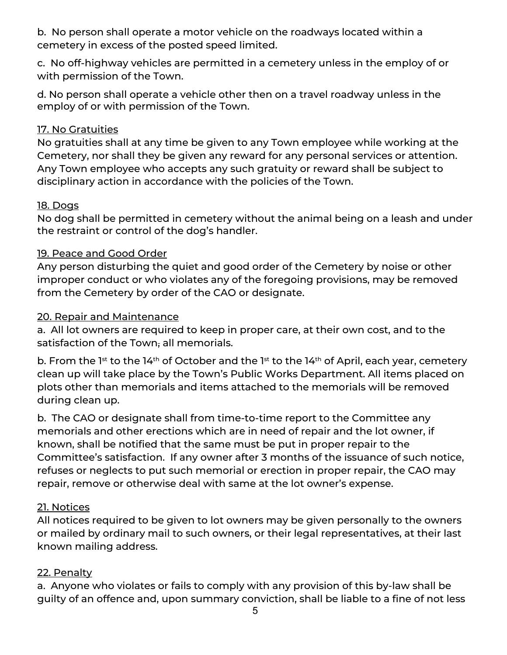b. No person shall operate a motor vehicle on the roadways located within a cemetery in excess of the posted speed limited.

c. No off-highway vehicles are permitted in a cemetery unless in the employ of or with permission of the Town.

d. No person shall operate a vehicle other then on a travel roadway unless in the employ of or with permission of the Town.

## 17. No Gratuities

No gratuities shall at any time be given to any Town employee while working at the Cemetery, nor shall they be given any reward for any personal services or attention. Any Town employee who accepts any such gratuity or reward shall be subject to disciplinary action in accordance with the policies of the Town.

### 18. Dogs

No dog shall be permitted in cemetery without the animal being on a leash and under the restraint or control of the dog's handler.

## 19. Peace and Good Order

Any person disturbing the quiet and good order of the Cemetery by noise or other improper conduct or who violates any of the foregoing provisions, may be removed from the Cemetery by order of the CAO or designate.

## 20. Repair and Maintenance

a. All lot owners are required to keep in proper care, at their own cost, and to the satisfaction of the Town, all memorials.

b. From the  $1^{st}$  to the  $14^{th}$  of October and the  $1^{st}$  to the  $14^{th}$  of April, each year, cemetery clean up will take place by the Town's Public Works Department. All items placed on plots other than memorials and items attached to the memorials will be removed during clean up.

b. The CAO or designate shall from time-to-time report to the Committee any memorials and other erections which are in need of repair and the lot owner, if known, shall be notified that the same must be put in proper repair to the Committee's satisfaction. If any owner after 3 months of the issuance of such notice, refuses or neglects to put such memorial or erection in proper repair, the CAO may repair, remove or otherwise deal with same at the lot owner's expense.

# 21. Notices

All notices required to be given to lot owners may be given personally to the owners or mailed by ordinary mail to such owners, or their legal representatives, at their last known mailing address.

# 22. Penalty

a. Anyone who violates or fails to comply with any provision of this by-law shall be guilty of an offence and, upon summary conviction, shall be liable to a fine of not less